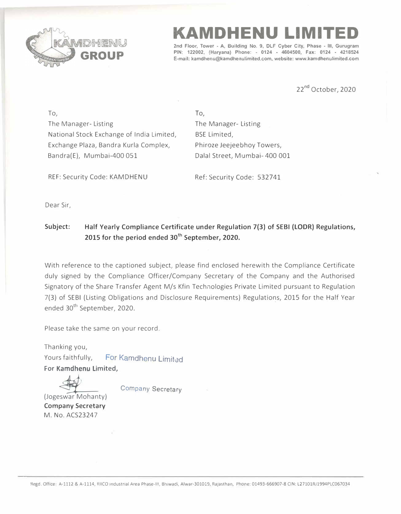

**KAMDHENU LIMITED** 

**2nd Floor, Tower - A, Building No. 9, DLF Cyber City, Phase - Ill, Gurugram PIN: 122002, (Haryana) Phone: - 0124 • 4604500, Fax: 0124 • 4218524 E-mail: kamdhenu@kamdhenulimited.com, website: www.kamdhenulimited.com**

22<sup>nd</sup> October, 2020

To, The Manager- Listing National Stock Exchange of India Limited, Exchange Plaza, Bandra Kurla Complex, Bandra(E), Mumbai-400 051

To, The Manager- Listing BSE Limited, Phiroze Jeejeebhoy Towers, Dalal Street, Mumbai- 400 001

REF: Security Code: KAMDHENU

Ref: Security Code: 532741

Dear Sir,

## Subject: Half Yearly Compliance Certificate under Regulation 7(3) of SEBI (LODR) Regulations, **2015 for the period ended 30th September, 2020.**

With reference to the captioned subject, please find enclosed herewith the Compliance Certificate duly signed by the Compliance Officer/Company Secretary of the Company and the Authorised Signatory of the Share Transfer Agent M/s Kfin Technologies Private Limited pursuant to Regulation 7(3) of SEBI (Listing Obligations and Disclosure Requirements) Regulations, 2015 for the Half Year ended 30<sup>th</sup> September, 2020.

Please take the same on your record.

Thanking you, Yours faithfully, For Kamdhenu Limited

For Kamdhenu Limited,

**Company Secretary** 

(Jogeswar Mohanty) **Company Secretary**  M. No. ACS23247